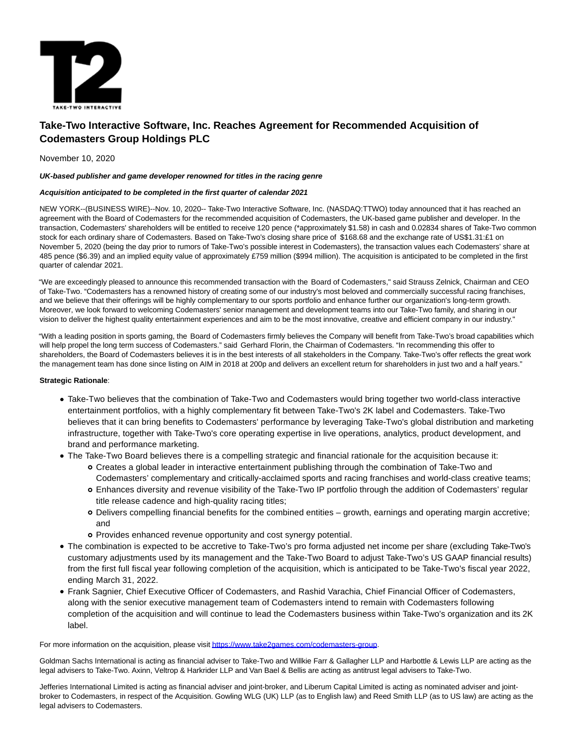

# **Take-Two Interactive Software, Inc. Reaches Agreement for Recommended Acquisition of Codemasters Group Holdings PLC**

## November 10, 2020

## **UK-based publisher and game developer renowned for titles in the racing genre**

## **Acquisition anticipated to be completed in the first quarter of calendar 2021**

NEW YORK--(BUSINESS WIRE)--Nov. 10, 2020-- Take-Two Interactive Software, Inc. (NASDAQ:TTWO) today announced that it has reached an agreement with the Board of Codemasters for the recommended acquisition of Codemasters, the UK-based game publisher and developer. In the transaction, Codemasters' shareholders will be entitled to receive 120 pence (\*approximately \$1.58) in cash and 0.02834 shares of Take-Two common stock for each ordinary share of Codemasters. Based on Take-Two's closing share price of \$168.68 and the exchange rate of US\$1.31:£1 on November 5, 2020 (being the day prior to rumors of Take-Two's possible interest in Codemasters), the transaction values each Codemasters' share at 485 pence (\$6.39) and an implied equity value of approximately £759 million (\$994 million). The acquisition is anticipated to be completed in the first quarter of calendar 2021.

"We are exceedingly pleased to announce this recommended transaction with the Board of Codemasters," said Strauss Zelnick, Chairman and CEO of Take-Two. "Codemasters has a renowned history of creating some of our industry's most beloved and commercially successful racing franchises, and we believe that their offerings will be highly complementary to our sports portfolio and enhance further our organization's long-term growth. Moreover, we look forward to welcoming Codemasters' senior management and development teams into our Take-Two family, and sharing in our vision to deliver the highest quality entertainment experiences and aim to be the most innovative, creative and efficient company in our industry."

"With a leading position in sports gaming, the Board of Codemasters firmly believes the Company will benefit from Take-Two's broad capabilities which will help propel the long term success of Codemasters." said Gerhard Florin, the Chairman of Codemasters. "In recommending this offer to shareholders, the Board of Codemasters believes it is in the best interests of all stakeholders in the Company. Take-Two's offer reflects the great work the management team has done since listing on AIM in 2018 at 200p and delivers an excellent return for shareholders in just two and a half years."

## **Strategic Rationale**:

- Take-Two believes that the combination of Take-Two and Codemasters would bring together two world-class interactive entertainment portfolios, with a highly complementary fit between Take-Two's 2K label and Codemasters. Take-Two believes that it can bring benefits to Codemasters' performance by leveraging Take-Two's global distribution and marketing infrastructure, together with Take-Two's core operating expertise in live operations, analytics, product development, and brand and performance marketing.
- The Take-Two Board believes there is a compelling strategic and financial rationale for the acquisition because it:
	- Creates a global leader in interactive entertainment publishing through the combination of Take-Two and Codemasters' complementary and critically-acclaimed sports and racing franchises and world-class creative teams;
	- Enhances diversity and revenue visibility of the Take-Two IP portfolio through the addition of Codemasters' regular title release cadence and high-quality racing titles;
	- Delivers compelling financial benefits for the combined entities growth, earnings and operating margin accretive; and
	- Provides enhanced revenue opportunity and cost synergy potential.
- The combination is expected to be accretive to Take-Two's pro forma adjusted net income per share (excluding Take-Two's customary adjustments used by its management and the Take-Two Board to adjust Take-Two's US GAAP financial results) from the first full fiscal year following completion of the acquisition, which is anticipated to be Take-Two's fiscal year 2022, ending March 31, 2022.
- Frank Sagnier, Chief Executive Officer of Codemasters, and Rashid Varachia, Chief Financial Officer of Codemasters, along with the senior executive management team of Codemasters intend to remain with Codemasters following completion of the acquisition and will continue to lead the Codemasters business within Take-Two's organization and its 2K label.

For more information on the acquisition, please visi[t https://www.take2games.com/codemasters-group.](https://cts.businesswire.com/ct/CT?id=smartlink&url=https%3A%2F%2Fwww.take2games.com%2Fcodemasters-group&esheet=52324072&newsitemid=20201110005649&lan=en-US&anchor=https%3A%2F%2Fwww.take2games.com%2Fcodemasters-group&index=1&md5=f7ddac0efa10ef187c52a262db67d377)

Goldman Sachs International is acting as financial adviser to Take-Two and Willkie Farr & Gallagher LLP and Harbottle & Lewis LLP are acting as the legal advisers to Take-Two. Axinn, Veltrop & Harkrider LLP and Van Bael & Bellis are acting as antitrust legal advisers to Take-Two.

Jefferies International Limited is acting as financial adviser and joint-broker, and Liberum Capital Limited is acting as nominated adviser and jointbroker to Codemasters, in respect of the Acquisition. Gowling WLG (UK) LLP (as to English law) and Reed Smith LLP (as to US law) are acting as the legal advisers to Codemasters.